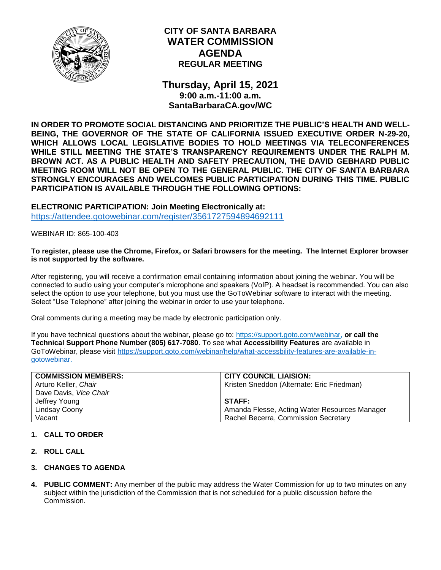

# **CITY OF SANTA BARBARA WATER COMMISSION AGENDA REGULAR MEETING**

**Thursday, April 15, 2021 9:00 a.m.-11:00 a.m. SantaBarbaraCA.gov/WC**

**IN ORDER TO PROMOTE SOCIAL DISTANCING AND PRIORITIZE THE PUBLIC'S HEALTH AND WELL-BEING, THE GOVERNOR OF THE STATE OF CALIFORNIA ISSUED EXECUTIVE ORDER N-29-20, WHICH ALLOWS LOCAL LEGISLATIVE BODIES TO HOLD MEETINGS VIA TELECONFERENCES WHILE STILL MEETING THE STATE'S TRANSPARENCY REQUIREMENTS UNDER THE RALPH M. BROWN ACT. AS A PUBLIC HEALTH AND SAFETY PRECAUTION, THE DAVID GEBHARD PUBLIC MEETING ROOM WILL NOT BE OPEN TO THE GENERAL PUBLIC. THE CITY OF SANTA BARBARA STRONGLY ENCOURAGES AND WELCOMES PUBLIC PARTICIPATION DURING THIS TIME. PUBLIC PARTICIPATION IS AVAILABLE THROUGH THE FOLLOWING OPTIONS:**

**ELECTRONIC PARTICIPATION: Join Meeting Electronically at:** <https://attendee.gotowebinar.com/register/3561727594894692111>

WEBINAR ID: 865-100-403

#### **To register, please use the Chrome, Firefox, or Safari browsers for the meeting. The Internet Explorer browser is not supported by the software.**

After registering, you will receive a confirmation email containing information about joining the webinar. You will be connected to audio using your computer's microphone and speakers (VoIP). A headset is recommended. You can also select the option to use your telephone, but you must use the GoToWebinar software to interact with the meeting. Select "Use Telephone" after joining the webinar in order to use your telephone.

Oral comments during a meeting may be made by electronic participation only.

If you have technical questions about the webinar, please go to: [https://support.goto.com/webinar,](https://support.goto.com/webinar) **or call the Technical Support Phone Number (805) 617-7080**. To see what **Accessibility Features** are available in GoToWebinar, please visit [https://support.goto.com/webinar/help/what-accessbility-features-are-available-in](https://support.goto.com/webinar/help/what-accessbility-features-are-available-in-gotowebinar)[gotowebinar.](https://support.goto.com/webinar/help/what-accessbility-features-are-available-in-gotowebinar)

| <b>COMMISSION MEMBERS:</b> | <b>CITY COUNCIL LIAISION:</b>                 |
|----------------------------|-----------------------------------------------|
| Arturo Keller, Chair       | Kristen Sneddon (Alternate: Eric Friedman)    |
| Dave Davis, Vice Chair     |                                               |
| Jeffrey Young              | <b>STAFF:</b>                                 |
| Lindsay Coony              | Amanda Flesse, Acting Water Resources Manager |
| Vacant                     | Rachel Becerra, Commission Secretary          |

### **1. CALL TO ORDER**

- **2. ROLL CALL**
- **3. CHANGES TO AGENDA**
- **4. PUBLIC COMMENT:** Any member of the public may address the Water Commission for up to two minutes on any subject within the jurisdiction of the Commission that is not scheduled for a public discussion before the Commission.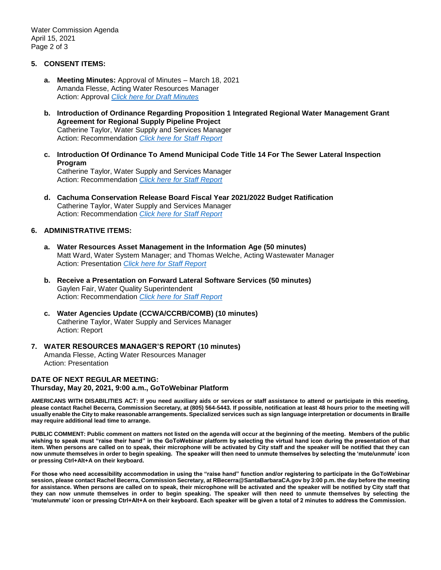Water Commission Agenda April 15, 2021 Page 2 of 3

#### **5. CONSENT ITEMS:**

- **a. Meeting Minutes:** Approval of Minutes March 18, 2021 Amanda Flesse, Acting Water Resources Manager Action: Approval *[Click here for Draft Minutes](https://www.santabarbaraca.gov/civicax/filebank/blobdload.aspx?BlobID=235275)*
- **b. Introduction of Ordinance Regarding Proposition 1 Integrated Regional Water Management Grant Agreement for Regional Supply Pipeline Project** Catherine Taylor, Water Supply and Services Manager Action: Recommendation *[Click here for Staff Report](https://www.santabarbaraca.gov/civicax/filebank/blobdload.aspx?BlobID=235262)*
- **c. Introduction Of Ordinance To Amend Municipal Code Title 14 For The Sewer Lateral Inspection Program** Catherine Taylor, Water Supply and Services Manager

Action: Recommendation *[Click here for Staff Report](https://www.santabarbaraca.gov/civicax/filebank/blobdload.aspx?BlobID=235263)*

**d. Cachuma Conservation Release Board Fiscal Year 2021/2022 Budget Ratification** Catherine Taylor, Water Supply and Services Manager Action: Recommendation *[Click here for Staff Report](https://www.santabarbaraca.gov/civicax/filebank/blobdload.aspx?BlobID=235264)*

#### **6. ADMINISTRATIVE ITEMS:**

- **a. Water Resources Asset Management in the Information Age (50 minutes)** Matt Ward, Water System Manager; and Thomas Welche, Acting Wastewater Manager Action: Presentation *[Click here for Staff Report](https://www.santabarbaraca.gov/civicax/filebank/blobdload.aspx?BlobID=235265)*
- **b. Receive a Presentation on Forward Lateral Software Services (50 minutes)** Gaylen Fair, Water Quality Superintendent Action: Recommendation *[Click here for Staff Report](https://www.santabarbaraca.gov/civicax/filebank/blobdload.aspx?BlobID=235266)*
- **c. Water Agencies Update (CCWA/CCRB/COMB) (10 minutes)** Catherine Taylor, Water Supply and Services Manager Action: Report
- **7. WATER RESOURCES MANAGER'S REPORT (10 minutes)** Amanda Flesse, Acting Water Resources Manager Action: Presentation

## **DATE OF NEXT REGULAR MEETING:**

**Thursday, May 20, 2021, 9:00 a.m., GoToWebinar Platform**

**AMERICANS WITH DISABILITIES ACT: If you need auxiliary aids or services or staff assistance to attend or participate in this meeting, please contact Rachel Becerra, Commission Secretary, at (805) 564-5443. If possible, notification at least 48 hours prior to the meeting will usually enable the City to make reasonable arrangements. Specialized services such as sign language interpretation or documents in Braille may require additional lead time to arrange.**

**PUBLIC COMMENT: Public comment on matters not listed on the agenda will occur at the beginning of the meeting. Members of the public wishing to speak must "raise their hand" in the GoToWebinar platform by selecting the virtual hand icon during the presentation of that item. When persons are called on to speak, their microphone will be activated by City staff and the speaker will be notified that they can now unmute themselves in order to begin speaking. The speaker will then need to unmute themselves by selecting the 'mute/unmute' icon or pressing Ctrl+Alt+A on their keyboard.** 

**For those who need accessibility accommodation in using the "raise hand" function and/or registering to participate in the GoToWebinar session, please contact Rachel Becerra, Commission Secretary, at RBecerra@SantaBarbaraCA.gov by 3:00 p.m. the day before the meeting for assistance. When persons are called on to speak, their microphone will be activated and the speaker will be notified by City staff that they can now unmute themselves in order to begin speaking. The speaker will then need to unmute themselves by selecting the 'mute/unmute' icon or pressing Ctrl+Alt+A on their keyboard. Each speaker will be given a total of 2 minutes to address the Commission.**